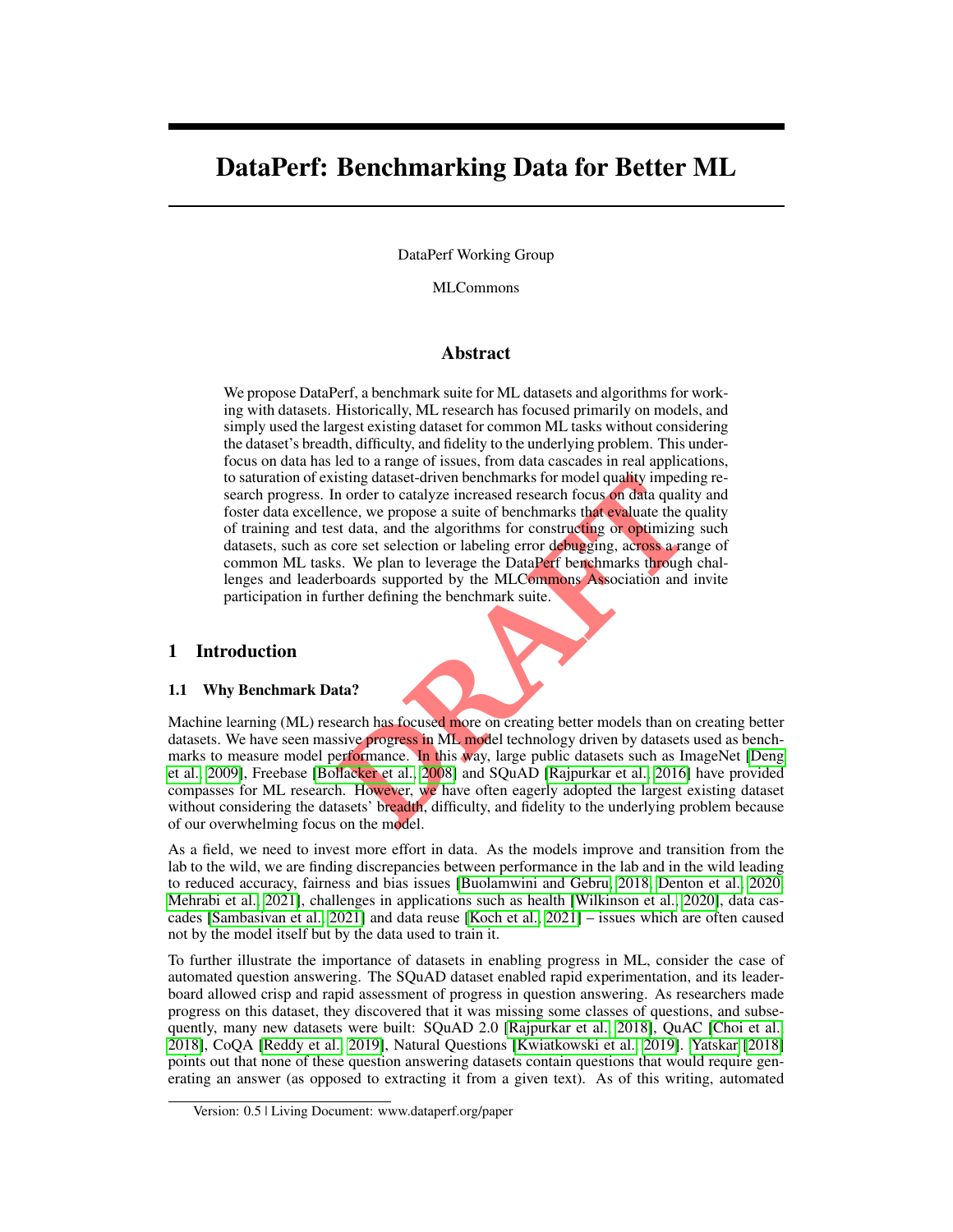# DataPerf: Benchmarking Data for Better ML

DataPerf Working Group

MLCommons

# Abstract

isting dataset-driven benchmarks for model quality impedint or order to catalyze increased research focus on data qualities that evaluate the q st data, and the algorithms for constructing or optimizing one set selection o We propose DataPerf, a benchmark suite for ML datasets and algorithms for working with datasets. Historically, ML research has focused primarily on models, and simply used the largest existing dataset for common ML tasks without considering the dataset's breadth, difficulty, and fidelity to the underlying problem. This underfocus on data has led to a range of issues, from data cascades in real applications, to saturation of existing dataset-driven benchmarks for model quality impeding research progress. In order to catalyze increased research focus on data quality and foster data excellence, we propose a suite of benchmarks that evaluate the quality of training and test data, and the algorithms for constructing or optimizing such datasets, such as core set selection or labeling error debugging, across a range of common ML tasks. We plan to leverage the DataPerf benchmarks through challenges and leaderboards supported by the MLCommons Association and invite participation in further defining the benchmark suite.

### 1 Introduction

#### 1.1 Why Benchmark Data?

Machine learning (ML) research has focused more on creating better models than on creating better datasets. We have seen massive progress in ML model technology driven by datasets used as bench-marks to measure model performance. In this way, large public datasets such as ImageNet [\[Deng](#page-8-0) [et al., 2009\]](#page-8-0), Freebase [\[Bollacker et al.,](#page-8-1) 2008] and SQuAD [Rajpurkar et al., 2016] have provided compasses for ML research. However, we have often eagerly adopted the largest existing dataset without considering the datasets' breadth, difficulty, and fidelity to the underlying problem because of our overwhelming focus on the model.

As a field, we need to invest more effort in data. As the models improve and transition from the lab to the wild, we are finding discrepancies between performance in the lab and in the wild leading to reduced accuracy, fairness and bias issues [\[Buolamwini and Gebru, 2018,](#page-8-2) [Denton et al., 2020,](#page-9-0) [Mehrabi et al., 2021\]](#page-9-1), challenges in applications such as health [\[Wilkinson et al., 2020\]](#page-10-1), data cascades [\[Sambasivan et al., 2021\]](#page-10-2) and data reuse [\[Koch et al., 2021\]](#page-9-2) – issues which are often caused not by the model itself but by the data used to train it.

To further illustrate the importance of datasets in enabling progress in ML, consider the case of automated question answering. The SQuAD dataset enabled rapid experimentation, and its leaderboard allowed crisp and rapid assessment of progress in question answering. As researchers made progress on this dataset, they discovered that it was missing some classes of questions, and subsequently, many new datasets were built: SQuAD 2.0 [\[Rajpurkar et al., 2018\]](#page-10-3), QuAC [\[Choi et al.,](#page-8-3) [2018\]](#page-8-3), CoQA [\[Reddy et al., 2019\]](#page-10-4), Natural Questions [\[Kwiatkowski et al., 2019\]](#page-9-3). [Yatskar](#page-10-5) [\[2018\]](#page-10-5) points out that none of these question answering datasets contain questions that would require generating an answer (as opposed to extracting it from a given text). As of this writing, automated

Version: 0.5 | Living Document: www.dataperf.org/paper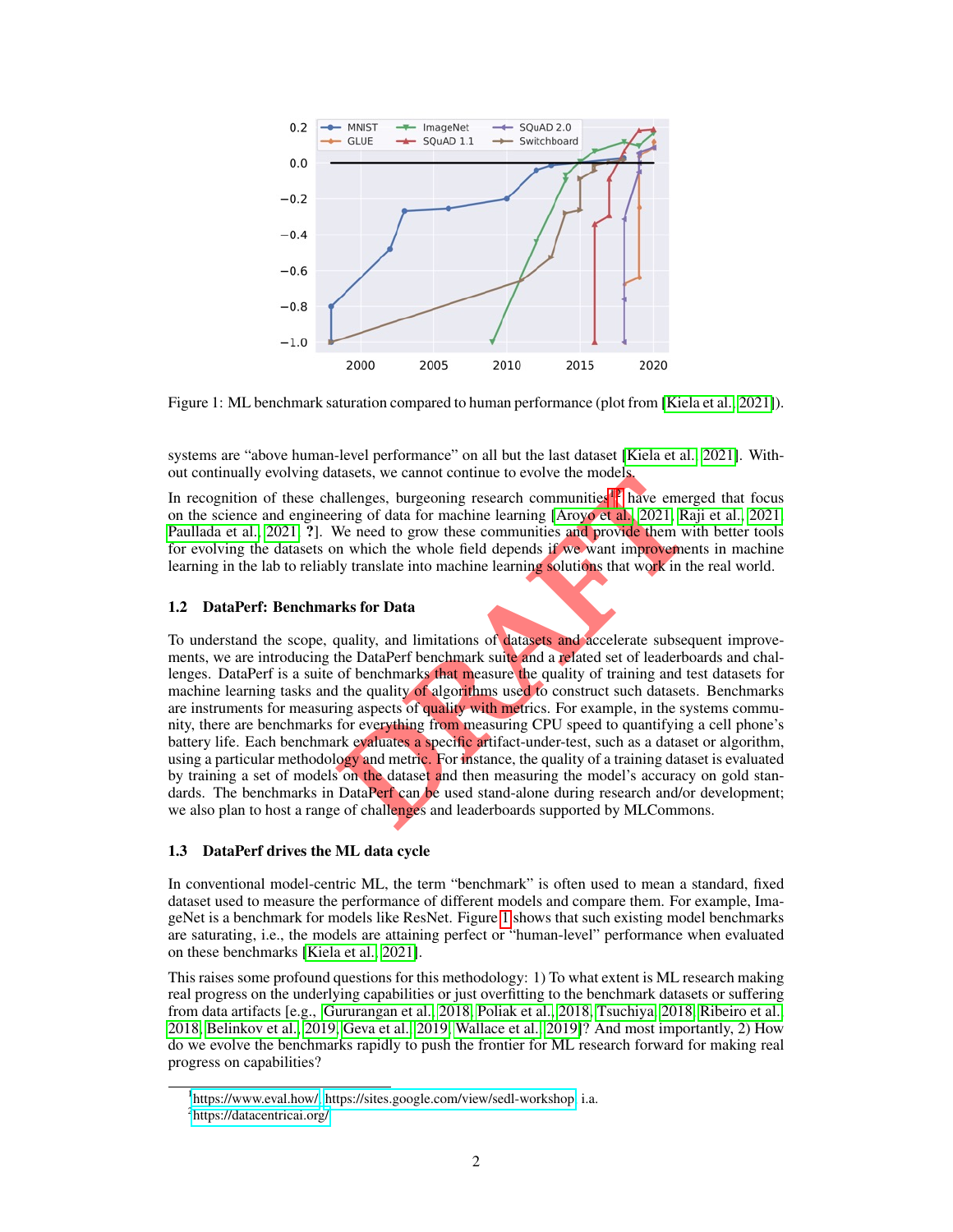

<span id="page-1-2"></span>Figure 1: ML benchmark saturation compared to human performance (plot from [\[Kiela et al., 2021\]](#page-9-4)).

systems are "above human-level performance" on all but the last dataset [\[Kiela et al., 2021\]](#page-9-4). Without continually evolving datasets, we cannot continue to evolve the models.

In recognition of these challenges, burgeoning research communities<sup>12</sup> have emerged that focus on the science and engineering of data for machine learning [Aroyo et al., 2021, [Raji et al., 2021,](#page-10-6) [Paullada et al., 2021,](#page-9-5) ?]. We need to grow these communities and provide them with better tools for evolving the datasets on which the whole field depends if we want improvements in machine learning in the lab to reliably translate into machine learning solutions that work in the real world.

# 1.2 DataPerf: Benchmarks for Data

dasets, we cannot continue to evoive the models,<br>allenges, burgeoning research communities<sup>12</sup> have emer-<br>tring of data for machine learning [Aroyo et al., 2021, Ra<br>We need to grow these communities and provide them w<br>m wh To understand the scope, quality, and limitations of datasets and accelerate subsequent improvements, we are introducing the DataPerf benchmark suite and a related set of leaderboards and challenges. DataPerf is a suite of benchmarks that measure the quality of training and test datasets for machine learning tasks and the quality of algorithms used to construct such datasets. Benchmarks are instruments for measuring aspects of quality with metrics. For example, in the systems community, there are benchmarks for everything from measuring CPU speed to quantifying a cell phone's battery life. Each benchmark evaluates a specific artifact-under-test, such as a dataset or algorithm, using a particular methodology and metric. For instance, the quality of a training dataset is evaluated by training a set of models on the dataset and then measuring the model's accuracy on gold standards. The benchmarks in DataPerf can be used stand-alone during research and/or development; we also plan to host a range of challenges and leaderboards supported by MLCommons.

### 1.3 DataPerf drives the ML data cycle

In conventional model-centric ML, the term "benchmark" is often used to mean a standard, fixed dataset used to measure the performance of different models and compare them. For example, ImageNet is a benchmark for models like ResNet. Figure [1](#page-1-2) shows that such existing model benchmarks are saturating, i.e., the models are attaining perfect or "human-level" performance when evaluated on these benchmarks [\[Kiela et al., 2021\]](#page-9-4).

This raises some profound questions for this methodology: 1) To what extent is ML research making real progress on the underlying capabilities or just overfitting to the benchmark datasets or suffering from data artifacts [e.g., [Gururangan et al., 2018,](#page-9-6) [Poliak et al., 2018,](#page-9-7) [Tsuchiya, 2018,](#page-10-7) [Ribeiro et al.,](#page-10-8) [2018,](#page-10-8) [Belinkov et al., 2019,](#page-8-5) [Geva et al., 2019,](#page-9-8) [Wallace et al., 2019\]](#page-10-9)? And most importantly, 2) How do we evolve the benchmarks rapidly to push the frontier for ML research forward for making real progress on capabilities?

<span id="page-1-0"></span><sup>&</sup>lt;sup>1</sup>[https://www.eval.how/,](https://www.eval.how/) [https://sites.google.com/view/sedl-workshop,](https://sites.google.com/view/sedl-workshop) i.a.

<span id="page-1-1"></span><sup>&</sup>lt;sup>2</sup><https://datacentricai.org/>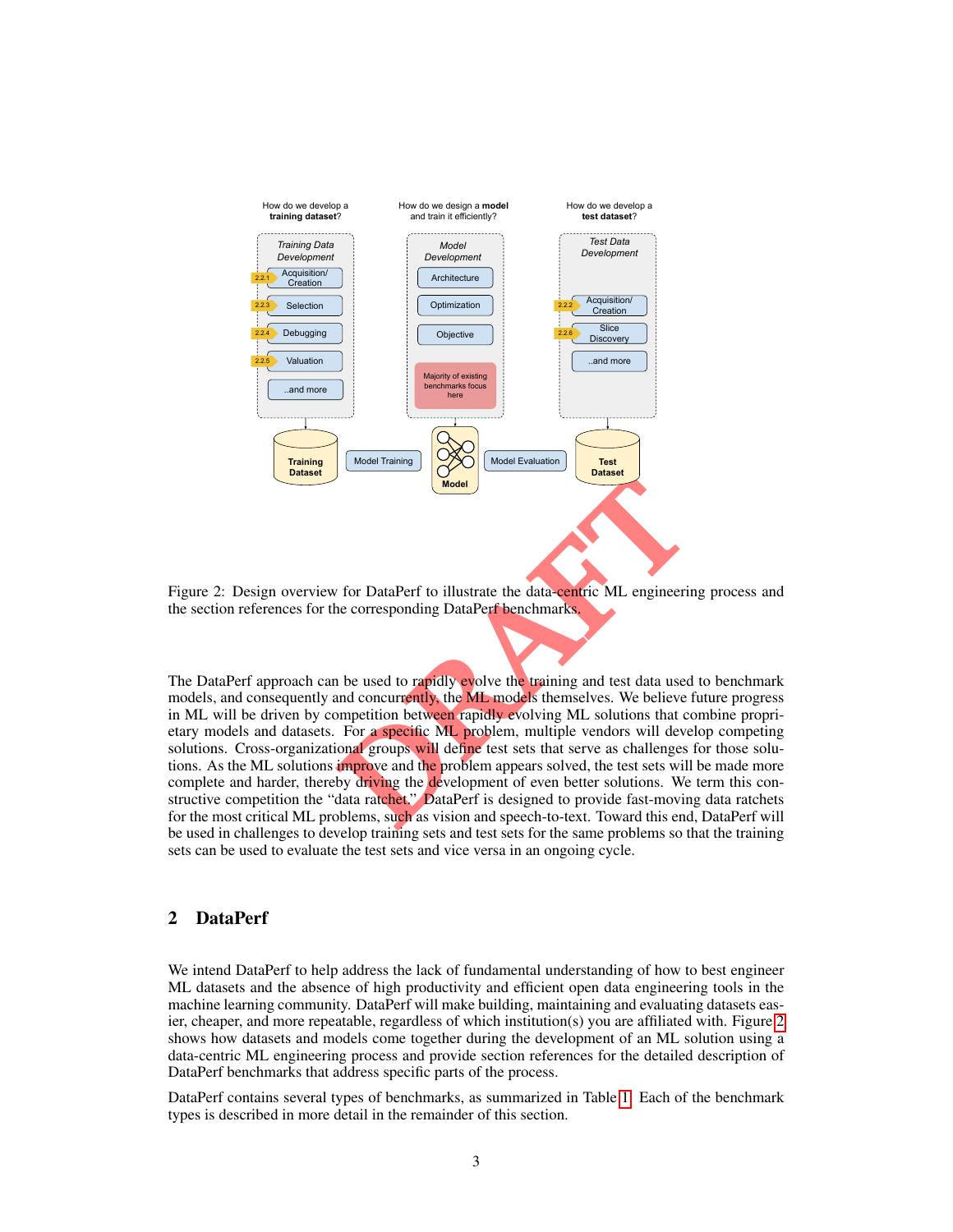

<span id="page-2-0"></span>Figure 2: Design overview for DataPerf to illustrate the data-centric ML engineering process and the section references for the corresponding DataPerf benchmarks.

**Model**<br> **DRAFT**<br> **DRAFT**<br> **DRAFT**<br> **DRAFT**<br> **DRAFT**<br> **DRAFT**<br> **DRAFT**<br> **DRAFT**<br> **DRAFT**<br> **DRAFT**<br> **DRAFT**<br> **DRAFT**<br> **DRAFT**<br> **DRAFT**<br> **DRAFT**<br> **DRAFT**<br> **DRAFT**<br> **DRAFT**<br> **DRAFT**<br> **DRAFT**<br> **DRAFT**<br> **DRAFT**<br> **DRAFT**<br> **DRAFT** The DataPerf approach can be used to rapidly evolve the training and test data used to benchmark models, and consequently and concurrently, the ML models themselves. We believe future progress in ML will be driven by competition between rapidly evolving ML solutions that combine proprietary models and datasets. For a specific ML problem, multiple vendors will develop competing solutions. Cross-organizational groups will define test sets that serve as challenges for those solutions. As the ML solutions improve and the problem appears solved, the test sets will be made more complete and harder, thereby driving the development of even better solutions. We term this constructive competition the "data ratchet." DataPerf is designed to provide fast-moving data ratchets for the most critical ML problems, such as vision and speech-to-text. Toward this end, DataPerf will be used in challenges to develop training sets and test sets for the same problems so that the training sets can be used to evaluate the test sets and vice versa in an ongoing cycle.

# 2 DataPerf

We intend DataPerf to help address the lack of fundamental understanding of how to best engineer ML datasets and the absence of high productivity and efficient open data engineering tools in the machine learning community. DataPerf will make building, maintaining and evaluating datasets easier, cheaper, and more repeatable, regardless of which institution(s) you are affiliated with. Figure [2](#page-2-0) shows how datasets and models come together during the development of an ML solution using a data-centric ML engineering process and provide section references for the detailed description of DataPerf benchmarks that address specific parts of the process.

DataPerf contains several types of benchmarks, as summarized in Table [1.](#page-3-0) Each of the benchmark types is described in more detail in the remainder of this section.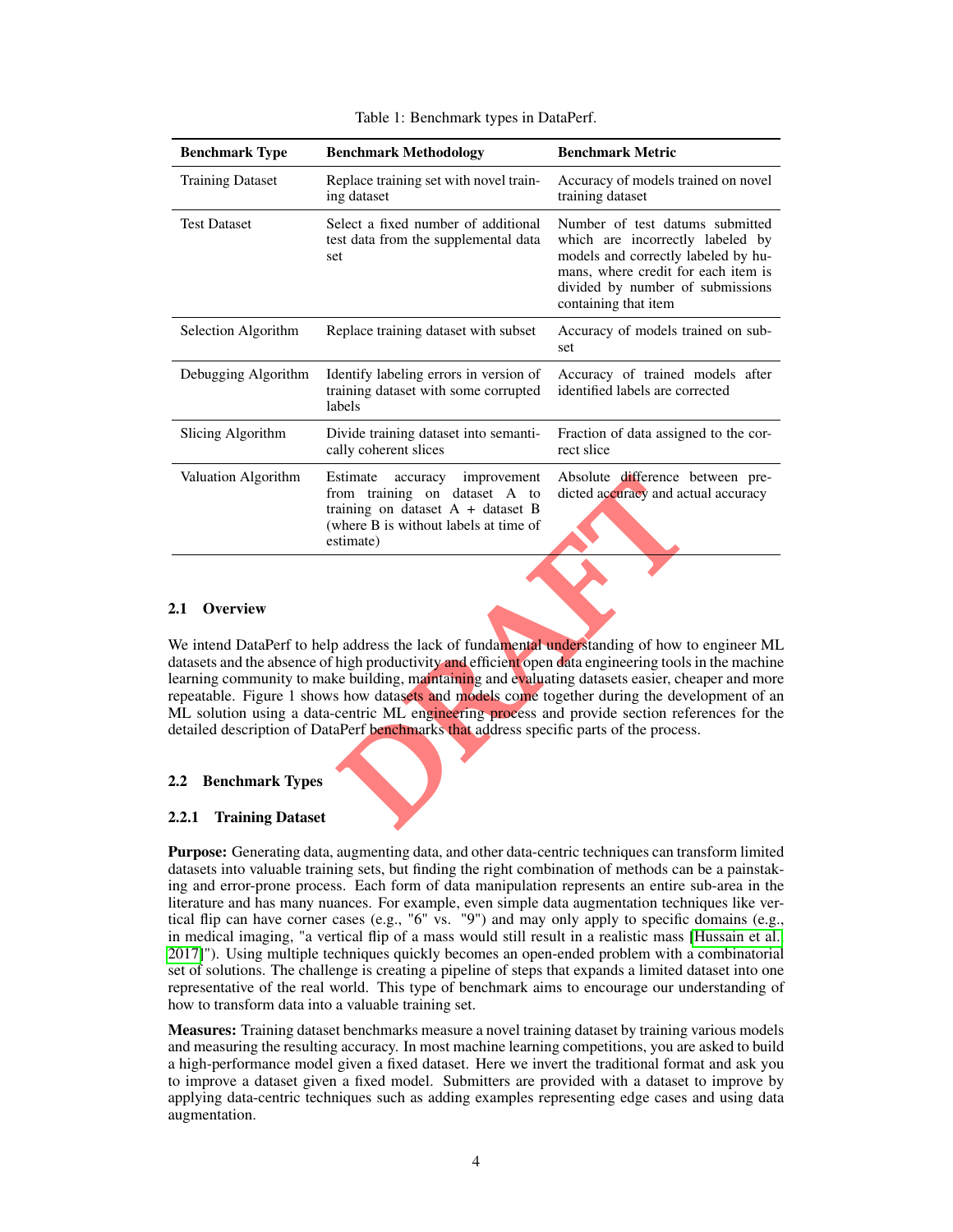| <b>Benchmark Type</b>   | <b>Benchmark Methodology</b>                                                                                                                                      | <b>Benchmark Metric</b>                                                                                                                                                                                       |
|-------------------------|-------------------------------------------------------------------------------------------------------------------------------------------------------------------|---------------------------------------------------------------------------------------------------------------------------------------------------------------------------------------------------------------|
| <b>Training Dataset</b> | Replace training set with novel train-<br>ing dataset                                                                                                             | Accuracy of models trained on novel<br>training dataset                                                                                                                                                       |
| <b>Test Dataset</b>     | Select a fixed number of additional<br>test data from the supplemental data<br>set                                                                                | Number of test datums submitted<br>which are incorrectly labeled by<br>models and correctly labeled by hu-<br>mans, where credit for each item is<br>divided by number of submissions<br>containing that item |
| Selection Algorithm     | Replace training dataset with subset                                                                                                                              | Accuracy of models trained on sub-<br>set                                                                                                                                                                     |
| Debugging Algorithm     | Identify labeling errors in version of<br>training dataset with some corrupted<br>labels                                                                          | Accuracy of trained models after<br>identified labels are corrected                                                                                                                                           |
| Slicing Algorithm       | Divide training dataset into semanti-<br>cally coherent slices                                                                                                    | Fraction of data assigned to the cor-<br>rect slice                                                                                                                                                           |
| Valuation Algorithm     | Estimate<br>accuracy<br>improvement<br>from training on dataset A to<br>training on dataset $A + dataset B$<br>(where B is without labels at time of<br>estimate) | Absolute difference between pre-<br>dicted accuracy and actual accuracy                                                                                                                                       |

<span id="page-3-0"></span>Table 1: Benchmark types in DataPerf.

#### 2.1 Overview

stimate accuracy improvement Absolute difference to<br>the training on dataset A to dicted accuracy and act<br>aining on dataset A + dataset B<br>stimate)<br>where B is without labels at time of<br>stimate)<br> $\theta$  address the lack of funda We intend DataPerf to help address the lack of fundamental understanding of how to engineer ML datasets and the absence of high productivity and efficient open data engineering tools in the machine learning community to make building, maintaining and evaluating datasets easier, cheaper and more repeatable. Figure 1 shows how datasets and models come together during the development of an ML solution using a data-centric ML engineering process and provide section references for the detailed description of DataPerf benchmarks that address specific parts of the process.

#### 2.2 Benchmark Types

#### 2.2.1 Training Dataset

Purpose: Generating data, augmenting data, and other data-centric techniques can transform limited datasets into valuable training sets, but finding the right combination of methods can be a painstaking and error-prone process. Each form of data manipulation represents an entire sub-area in the literature and has many nuances. For example, even simple data augmentation techniques like vertical flip can have corner cases (e.g., "6" vs. "9") and may only apply to specific domains (e.g., in medical imaging, "a vertical flip of a mass would still result in a realistic mass [\[Hussain et al.,](#page-9-9) [2017\]](#page-9-9)"). Using multiple techniques quickly becomes an open-ended problem with a combinatorial set of solutions. The challenge is creating a pipeline of steps that expands a limited dataset into one representative of the real world. This type of benchmark aims to encourage our understanding of how to transform data into a valuable training set.

**Measures:** Training dataset benchmarks measure a novel training dataset by training various models and measuring the resulting accuracy. In most machine learning competitions, you are asked to build a high-performance model given a fixed dataset. Here we invert the traditional format and ask you to improve a dataset given a fixed model. Submitters are provided with a dataset to improve by applying data-centric techniques such as adding examples representing edge cases and using data augmentation.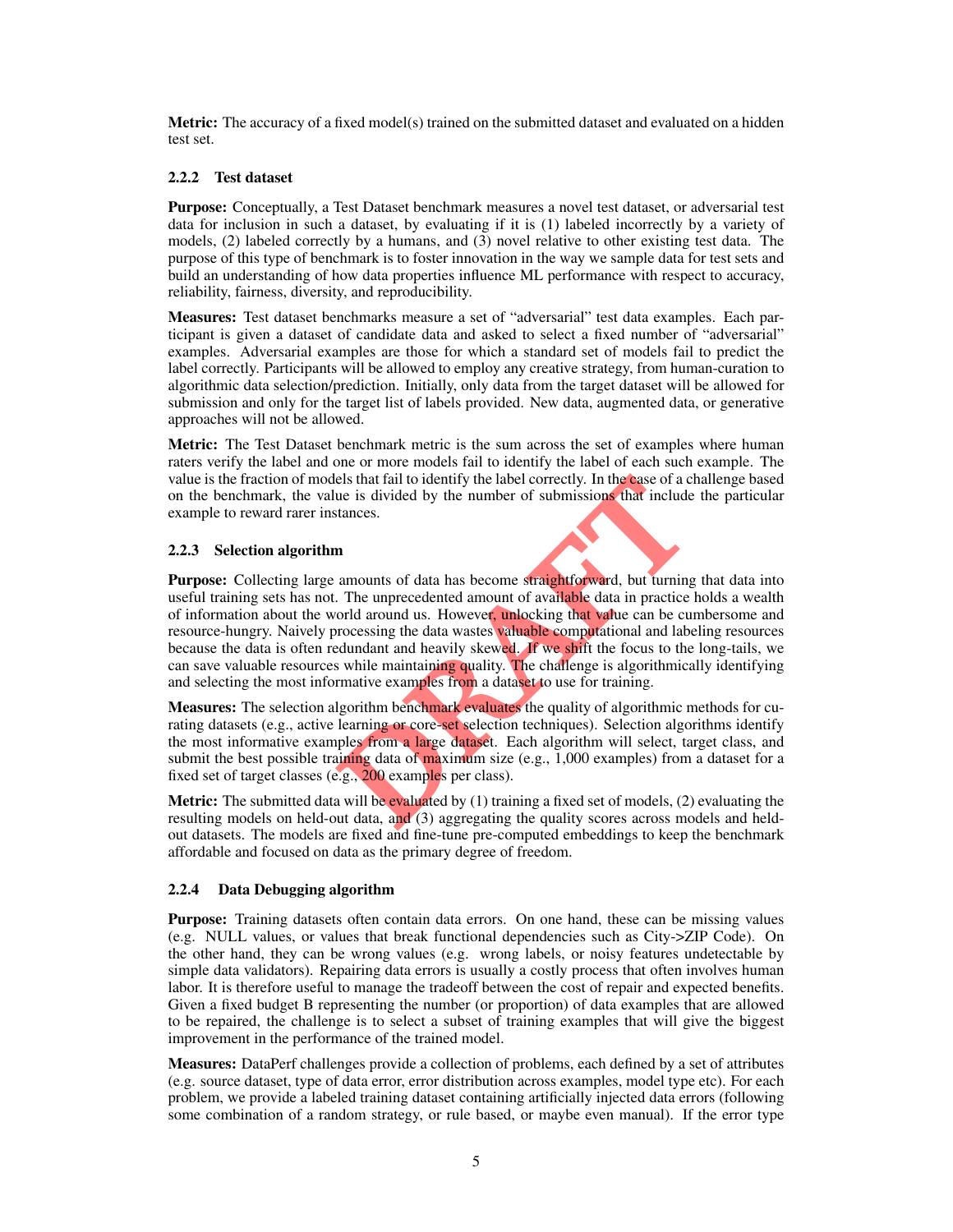**Metric:** The accuracy of a fixed model(s) trained on the submitted dataset and evaluated on a hidden test set.

# 2.2.2 Test dataset

Purpose: Conceptually, a Test Dataset benchmark measures a novel test dataset, or adversarial test data for inclusion in such a dataset, by evaluating if it is (1) labeled incorrectly by a variety of models, (2) labeled correctly by a humans, and (3) novel relative to other existing test data. The purpose of this type of benchmark is to foster innovation in the way we sample data for test sets and build an understanding of how data properties influence ML performance with respect to accuracy, reliability, fairness, diversity, and reproducibility.

Measures: Test dataset benchmarks measure a set of "adversarial" test data examples. Each participant is given a dataset of candidate data and asked to select a fixed number of "adversarial" examples. Adversarial examples are those for which a standard set of models fail to predict the label correctly. Participants will be allowed to employ any creative strategy, from human-curation to algorithmic data selection/prediction. Initially, only data from the target dataset will be allowed for submission and only for the target list of labels provided. New data, augmented data, or generative approaches will not be allowed.

Metric: The Test Dataset benchmark metric is the sum across the set of examples where human raters verify the label and one or more models fail to identify the label of each such example. The value is the fraction of models that fail to identify the label correctly. In the case of a challenge based on the benchmark, the value is divided by the number of submissions that include the particular example to reward rarer instances.

# 2.2.3 Selection algorithm

els that fail to identify the label correctly. In the case of a c<br>ue is divided by the number of submissions that include<br>stances.<br>**n**<br>amounts of data has become straightforward, but turning<br>. The unprecedented amount of a Purpose: Collecting large amounts of data has become straightforward, but turning that data into useful training sets has not. The unprecedented amount of available data in practice holds a wealth of information about the world around us. However, unlocking that value can be cumbersome and resource-hungry. Naively processing the data wastes valuable computational and labeling resources because the data is often redundant and heavily skewed. If we shift the focus to the long-tails, we can save valuable resources while maintaining quality. The challenge is algorithmically identifying and selecting the most informative examples from a dataset to use for training.

Measures: The selection algorithm benchmark evaluates the quality of algorithmic methods for curating datasets (e.g., active learning or core-set selection techniques). Selection algorithms identify the most informative examples from a large dataset. Each algorithm will select, target class, and submit the best possible training data of  $maxima$  size (e.g., 1,000 examples) from a dataset for a fixed set of target classes (e.g., 200 examples per class).

**Metric:** The submitted data will be evaluated by  $(1)$  training a fixed set of models,  $(2)$  evaluating the resulting models on held-out data, and (3) aggregating the quality scores across models and heldout datasets. The models are fixed and fine-tune pre-computed embeddings to keep the benchmark affordable and focused on data as the primary degree of freedom.

# 2.2.4 Data Debugging algorithm

Purpose: Training datasets often contain data errors. On one hand, these can be missing values (e.g. NULL values, or values that break functional dependencies such as City->ZIP Code). On the other hand, they can be wrong values (e.g. wrong labels, or noisy features undetectable by simple data validators). Repairing data errors is usually a costly process that often involves human labor. It is therefore useful to manage the tradeoff between the cost of repair and expected benefits. Given a fixed budget B representing the number (or proportion) of data examples that are allowed to be repaired, the challenge is to select a subset of training examples that will give the biggest improvement in the performance of the trained model.

**Measures:** DataPerf challenges provide a collection of problems, each defined by a set of attributes (e.g. source dataset, type of data error, error distribution across examples, model type etc). For each problem, we provide a labeled training dataset containing artificially injected data errors (following some combination of a random strategy, or rule based, or maybe even manual). If the error type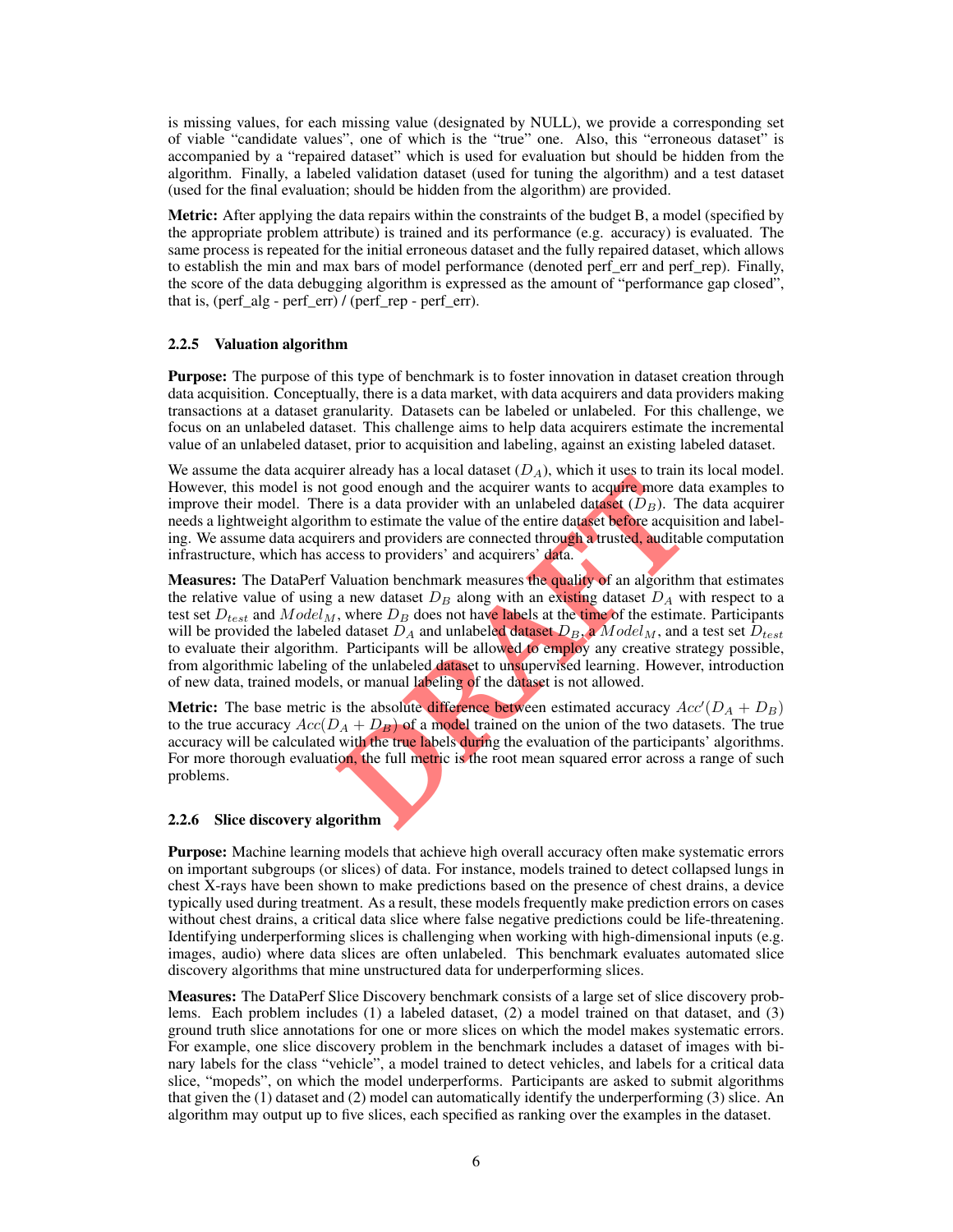is missing values, for each missing value (designated by NULL), we provide a corresponding set of viable "candidate values", one of which is the "true" one. Also, this "erroneous dataset" is accompanied by a "repaired dataset" which is used for evaluation but should be hidden from the algorithm. Finally, a labeled validation dataset (used for tuning the algorithm) and a test dataset (used for the final evaluation; should be hidden from the algorithm) are provided.

Metric: After applying the data repairs within the constraints of the budget B, a model (specified by the appropriate problem attribute) is trained and its performance (e.g. accuracy) is evaluated. The same process is repeated for the initial erroneous dataset and the fully repaired dataset, which allows to establish the min and max bars of model performance (denoted perf\_err and perf\_rep). Finally, the score of the data debugging algorithm is expressed as the amount of "performance gap closed", that is, (perf\_alg - perf\_err) / (perf\_rep - perf\_err).

#### 2.2.5 Valuation algorithm

Purpose: The purpose of this type of benchmark is to foster innovation in dataset creation through data acquisition. Conceptually, there is a data market, with data acquirers and data providers making transactions at a dataset granularity. Datasets can be labeled or unlabeled. For this challenge, we focus on an unlabeled dataset. This challenge aims to help data acquirers estimate the incremental value of an unlabeled dataset, prior to acquisition and labeling, against an existing labeled dataset.

We assume the data acquirer already has a local dataset  $(D_A)$ , which it uses to train its local model. However, this model is not good enough and the acquirer wants to acquire more data examples to improve their model. There is a data provider with an unlabeled dataset  $(D_B)$ . The data acquirer needs a lightweight algorithm to estimate the value of the entire dataset before acquisition and labeling. We assume data acquirers and providers are connected through a trusted, auditable computation infrastructure, which has access to providers' and acquirers' data.

Fractal visitation and dataset  $D_A$ , where it also denotes the space of the space of the space of the entire dataset  $(D_B)$ . Then to estimate the value of the entire dataset  $(D_B)$ . Then to estimate the value of the entire Measures: The DataPerf Valuation benchmark measures the quality of an algorithm that estimates the relative value of using a new dataset  $D_B$  along with an existing dataset  $D_A$  with respect to a test set  $D_{test}$  and  $Model_M$ , where  $D_B$  does not have labels at the time of the estimate. Participants will be provided the labeled dataset  $D_A$  and unlabeled dataset  $D_B$ , a  $Model_M$ , and a test set  $D_{test}$ to evaluate their algorithm. Participants will be allowed to employ any creative strategy possible, from algorithmic labeling of the unlabeled dataset to unsupervised learning. However, introduction of new data, trained models, or manual labeling of the dataset is not allowed.

**Metric:** The base metric is the absolute difference between estimated accuracy  $Acc'(D_A + D_B)$ to the true accuracy  $Acc(D_A + D_B)$  of a model trained on the union of the two datasets. The true accuracy will be calculated with the true labels during the evaluation of the participants' algorithms. For more thorough evaluation, the full metric is the root mean squared error across a range of such problems.

#### 2.2.6 Slice discovery algorithm

**Purpose:** Machine learning models that achieve high overall accuracy often make systematic errors on important subgroups (or slices) of data. For instance, models trained to detect collapsed lungs in chest X-rays have been shown to make predictions based on the presence of chest drains, a device typically used during treatment. As a result, these models frequently make prediction errors on cases without chest drains, a critical data slice where false negative predictions could be life-threatening. Identifying underperforming slices is challenging when working with high-dimensional inputs (e.g. images, audio) where data slices are often unlabeled. This benchmark evaluates automated slice discovery algorithms that mine unstructured data for underperforming slices.

Measures: The DataPerf Slice Discovery benchmark consists of a large set of slice discovery problems. Each problem includes (1) a labeled dataset, (2) a model trained on that dataset, and (3) ground truth slice annotations for one or more slices on which the model makes systematic errors. For example, one slice discovery problem in the benchmark includes a dataset of images with binary labels for the class "vehicle", a model trained to detect vehicles, and labels for a critical data slice, "mopeds", on which the model underperforms. Participants are asked to submit algorithms that given the (1) dataset and (2) model can automatically identify the underperforming (3) slice. An algorithm may output up to five slices, each specified as ranking over the examples in the dataset.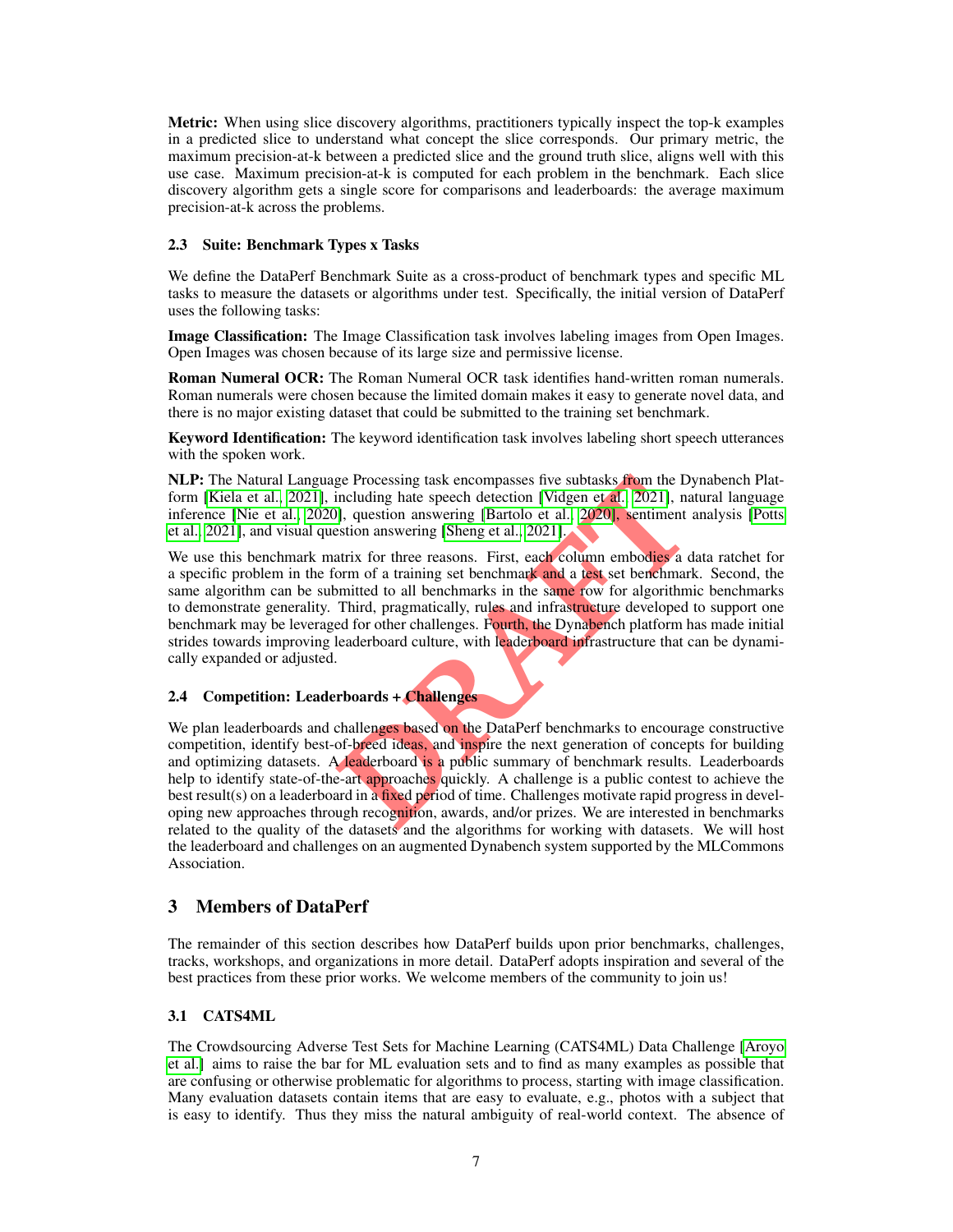Metric: When using slice discovery algorithms, practitioners typically inspect the top-k examples in a predicted slice to understand what concept the slice corresponds. Our primary metric, the maximum precision-at-k between a predicted slice and the ground truth slice, aligns well with this use case. Maximum precision-at-k is computed for each problem in the benchmark. Each slice discovery algorithm gets a single score for comparisons and leaderboards: the average maximum precision-at-k across the problems.

# 2.3 Suite: Benchmark Types x Tasks

We define the DataPerf Benchmark Suite as a cross-product of benchmark types and specific ML tasks to measure the datasets or algorithms under test. Specifically, the initial version of DataPerf uses the following tasks:

Image Classification: The Image Classification task involves labeling images from Open Images. Open Images was chosen because of its large size and permissive license.

Roman Numeral OCR: The Roman Numeral OCR task identifies hand-written roman numerals. Roman numerals were chosen because the limited domain makes it easy to generate novel data, and there is no major existing dataset that could be submitted to the training set benchmark.

Keyword Identification: The keyword identification task involves labeling short speech utterances with the spoken work.

NLP: The Natural Language Processing task encompasses five subtasks from the Dynabench Plat-form [\[Kiela et al., 2021\]](#page-9-4), including hate speech detection [Vidgen et al., 2021], natural language inference [\[Nie et al., 2020\]](#page-9-10), question answering [Bartolo et al., 2020], sentiment analysis [\[Potts](#page-9-11) [et al., 2021\]](#page-9-11), and visual question answering [Sheng et al., 2021].

ge Processing task encompasses five subtasks from the D<br>including hate speech detection [Vidgen et al., 2021], na<br>il), question answering [Bartolo et al., 2020], sentiment<br>estion answering [Sheng et al., 2021].<br>atrix for t We use this benchmark matrix for three reasons. First, each column embodies a data ratchet for a specific problem in the form of a training set benchmark and a test set benchmark. Second, the same algorithm can be submitted to all benchmarks in the same row for algorithmic benchmarks to demonstrate generality. Third, pragmatically, rules and infrastructure developed to support one benchmark may be leveraged for other challenges. Fourth, the Dynabench platform has made initial strides towards improving leaderboard culture, with leaderboard infrastructure that can be dynamically expanded or adjusted.

# 2.4 Competition: Leaderboards + Challenges

We plan leaderboards and challenges based on the DataPerf benchmarks to encourage constructive competition, identify best-of-breed ideas, and inspire the next generation of concepts for building and optimizing datasets. A leaderboard is a public summary of benchmark results. Leaderboards help to identify state-of-the-art approaches quickly. A challenge is a public contest to achieve the best result(s) on a leaderboard in a fixed period of time. Challenges motivate rapid progress in developing new approaches through recognition, awards, and/or prizes. We are interested in benchmarks related to the quality of the datasets and the algorithms for working with datasets. We will host the leaderboard and challenges on an augmented Dynabench system supported by the MLCommons Association.

# 3 Members of DataPerf

The remainder of this section describes how DataPerf builds upon prior benchmarks, challenges, tracks, workshops, and organizations in more detail. DataPerf adopts inspiration and several of the best practices from these prior works. We welcome members of the community to join us!

# 3.1 CATS4ML

The Crowdsourcing Adverse Test Sets for Machine Learning (CATS4ML) Data Challenge [\[Aroyo](#page-8-7) [et al.\]](#page-8-7) aims to raise the bar for ML evaluation sets and to find as many examples as possible that are confusing or otherwise problematic for algorithms to process, starting with image classification. Many evaluation datasets contain items that are easy to evaluate, e.g., photos with a subject that is easy to identify. Thus they miss the natural ambiguity of real-world context. The absence of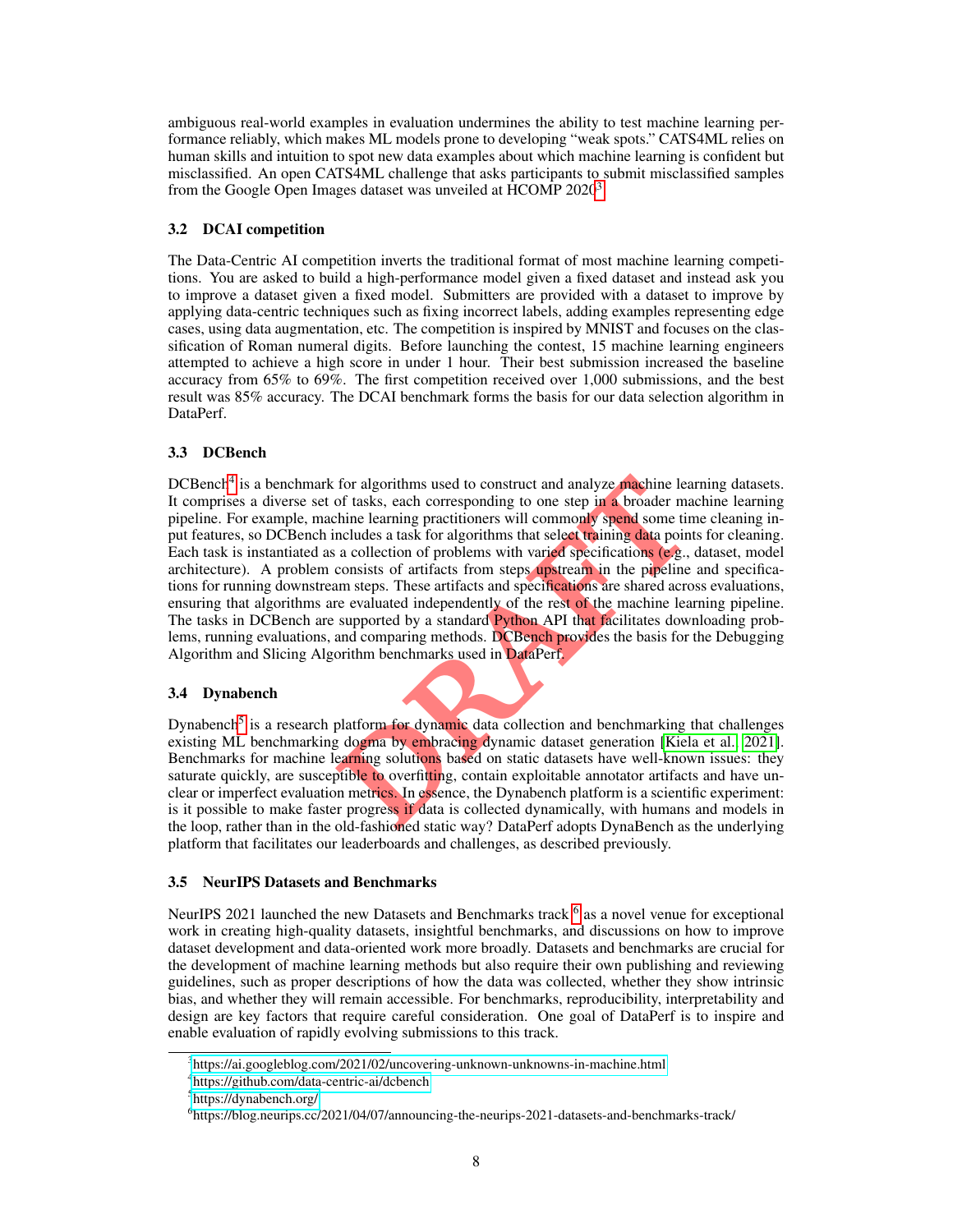ambiguous real-world examples in evaluation undermines the ability to test machine learning performance reliably, which makes ML models prone to developing "weak spots." CATS4ML relies on human skills and intuition to spot new data examples about which machine learning is confident but misclassified. An open CATS4ML challenge that asks participants to submit misclassified samples from the Google Open Images dataset was unveiled at HCOMP 2020<sup>[3](#page-7-0)</sup>.

# 3.2 DCAI competition

The Data-Centric AI competition inverts the traditional format of most machine learning competitions. You are asked to build a high-performance model given a fixed dataset and instead ask you to improve a dataset given a fixed model. Submitters are provided with a dataset to improve by applying data-centric techniques such as fixing incorrect labels, adding examples representing edge cases, using data augmentation, etc. The competition is inspired by MNIST and focuses on the classification of Roman numeral digits. Before launching the contest, 15 machine learning engineers attempted to achieve a high score in under 1 hour. Their best submission increased the baseline accuracy from 65% to 69%. The first competition received over 1,000 submissions, and the best result was 85% accuracy. The DCAI benchmark forms the basis for our data selection algorithm in DataPerf.

# 3.3 DCBench

for algorithms used to construct and analyze machine lead<br>of tasks, each corresponding to one step in a broader machine learning practitioners will commonly spend some tir<br>ncludes a task for algorithms that select training DCBench<sup>[4](#page-7-1)</sup> is a benchmark for algorithms used to construct and analyze machine learning datasets. It comprises a diverse set of tasks, each corresponding to one step in a broader machine learning pipeline. For example, machine learning practitioners will commonly spend some time cleaning input features, so DCBench includes a task for algorithms that select training data points for cleaning. Each task is instantiated as a collection of problems with varied specifications (e.g., dataset, model architecture). A problem consists of artifacts from steps upstream in the pipeline and specifications for running downstream steps. These artifacts and specifications are shared across evaluations, ensuring that algorithms are evaluated independently of the rest of the machine learning pipeline. The tasks in DCBench are supported by a standard Python API that facilitates downloading problems, running evaluations, and comparing methods. DCBench provides the basis for the Debugging Algorithm and Slicing Algorithm benchmarks used in DataPerf.

### 3.4 Dynabench

Dynabench<sup>[5](#page-7-2)</sup> is a research platform for dynamic data collection and benchmarking that challenges existing ML benchmarking dogma by embracing dynamic dataset generation [\[Kiela et al., 2021\]](#page-9-4). Benchmarks for machine learning solutions based on static datasets have well-known issues: they saturate quickly, are susceptible to overfitting, contain exploitable annotator artifacts and have unclear or imperfect evaluation metrics. In essence, the Dynabench platform is a scientific experiment: is it possible to make faster progress if data is collected dynamically, with humans and models in the loop, rather than in the old-fashioned static way? DataPerf adopts DynaBench as the underlying platform that facilitates our leaderboards and challenges, as described previously.

### 3.5 NeurIPS Datasets and Benchmarks

NeurIPS 2021 launched the new Datasets and Benchmarks track <sup>[6](#page-7-3)</sup> as a novel venue for exceptional work in creating high-quality datasets, insightful benchmarks, and discussions on how to improve dataset development and data-oriented work more broadly. Datasets and benchmarks are crucial for the development of machine learning methods but also require their own publishing and reviewing guidelines, such as proper descriptions of how the data was collected, whether they show intrinsic bias, and whether they will remain accessible. For benchmarks, reproducibility, interpretability and design are key factors that require careful consideration. One goal of DataPerf is to inspire and enable evaluation of rapidly evolving submissions to this track.

<span id="page-7-0"></span><sup>&</sup>lt;sup>3</sup><https://ai.googleblog.com/2021/02/uncovering-unknown-unknowns-in-machine.html>

<span id="page-7-1"></span><sup>4</sup> <https://github.com/data-centric-ai/dcbench>

<span id="page-7-2"></span><sup>5</sup> <https://dynabench.org/>

<span id="page-7-3"></span><sup>6</sup> https://blog.neurips.cc/2021/04/07/announcing-the-neurips-2021-datasets-and-benchmarks-track/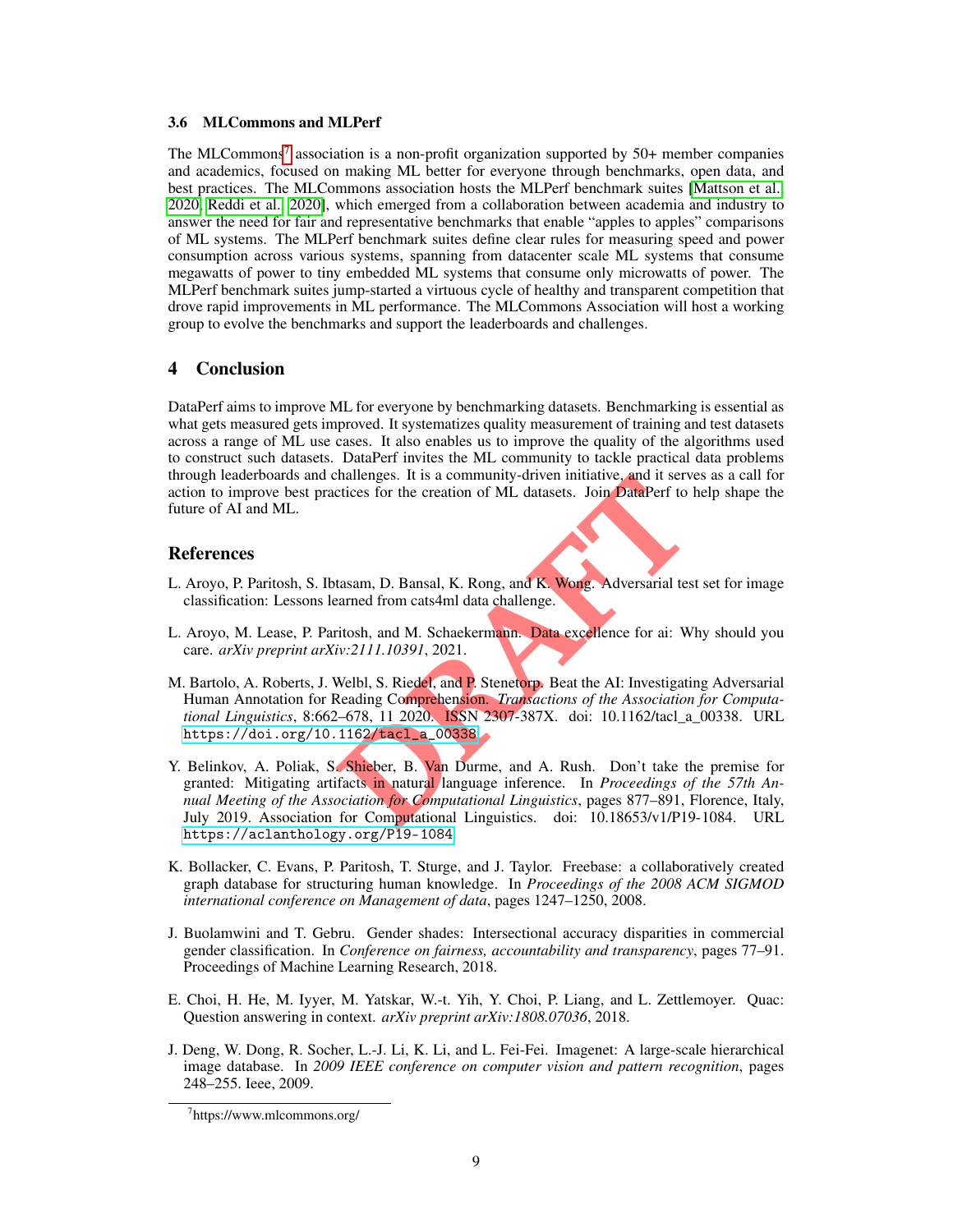#### 3.6 MLCommons and MLPerf

The MLCommons<sup>[7](#page-8-8)</sup> association is a non-profit organization supported by 50+ member companies and academics, focused on making ML better for everyone through benchmarks, open data, and best practices. The MLCommons association hosts the MLPerf benchmark suites [\[Mattson et al.,](#page-9-12) [2020,](#page-9-12) [Reddi et al., 2020\]](#page-10-12), which emerged from a collaboration between academia and industry to answer the need for fair and representative benchmarks that enable "apples to apples" comparisons of ML systems. The MLPerf benchmark suites define clear rules for measuring speed and power consumption across various systems, spanning from datacenter scale ML systems that consume megawatts of power to tiny embedded ML systems that consume only microwatts of power. The MLPerf benchmark suites jump-started a virtuous cycle of healthy and transparent competition that drove rapid improvements in ML performance. The MLCommons Association will host a working group to evolve the benchmarks and support the leaderboards and challenges.

# 4 Conclusion

DataPerf aims to improve ML for everyone by benchmarking datasets. Benchmarking is essential as what gets measured gets improved. It systematizes quality measurement of training and test datasets across a range of ML use cases. It also enables us to improve the quality of the algorithms used to construct such datasets. DataPerf invites the ML community to tackle practical data problems through leaderboards and challenges. It is a community-driven initiative, and it serves as a call for action to improve best practices for the creation of ML datasets. Join DataPerf to help shape the future of AI and ML.

### References

- <span id="page-8-7"></span>L. Aroyo, P. Paritosh, S. Ibtasam, D. Bansal, K. Rong, and K. Wong. Adversarial test set for image classification: Lessons learned from cats4ml data challenge.
- <span id="page-8-4"></span>L. Aroyo, M. Lease, P. Paritosh, and M. Schaekermann. Data excellence for ai: Why should you care. *arXiv preprint arXiv:2111.10391*, 2021.
- <span id="page-8-6"></span><span id="page-8-5"></span>M. Bartolo, A. Roberts, J. Welbl, S. Riedel, and P. Stenetorp. Beat the AI: Investigating Adversarial Human Annotation for Reading Comprehension. *Transactions of the Association for Computational Linguistics*, 8:662–678, 11 2020. ISSN 2307-387X. doi: 10.1162/tacl\_a\_00338. URL [https://doi.org/10.1162/tacl\\_a\\_00338](https://doi.org/10.1162/tacl_a_00338) .
- mallenges. It is a community-driven initiative, and it server<br>tices for the creation of ML datasets. Join DataPerf to<br>tices for the creation of ML datasets. Join DataPerf to<br>tasam, D. Bansal, K. Rong, and K. Wong. Adversar Y. Belinkov, A. Poliak, S. Shieber, B. Van Durme, and A. Rush. Don't take the premise for granted: Mitigating artifacts in natural language inference. In *Proceedings of the 57th Annual Meeting of the Association for Computational Linguistics*, pages 877–891, Florence, Italy, July 2019. Association for Computational Linguistics. doi: 10.18653/v1/P19-1084. URL <https://aclanthology.org/P19-1084> .
- <span id="page-8-1"></span>K. Bollacker, C. Evans, P. Paritosh, T. Sturge, and J. Taylor. Freebase: a collaboratively created graph database for structuring human knowledge. In *Proceedings of the 2008 ACM SIGMOD international conference on Management of data*, pages 1247–1250, 2008.
- <span id="page-8-2"></span>J. Buolamwini and T. Gebru. Gender shades: Intersectional accuracy disparities in commercial gender classification. In *Conference on fairness, accountability and transparency*, pages 77–91. Proceedings of Machine Learning Research, 2018.
- <span id="page-8-3"></span>E. Choi, H. He, M. Iyyer, M. Yatskar, W.-t. Yih, Y. Choi, P. Liang, and L. Zettlemoyer. Quac: Question answering in context. *arXiv preprint arXiv:1808.07036*, 2018.
- <span id="page-8-0"></span>J. Deng, W. Dong, R. Socher, L.-J. Li, K. Li, and L. Fei-Fei. Imagenet: A large-scale hierarchical image database. In *2009 IEEE conference on computer vision and pattern recognition*, pages 248–255. Ieee, 2009.

<span id="page-8-8"></span><sup>7</sup> https://www.mlcommons.org/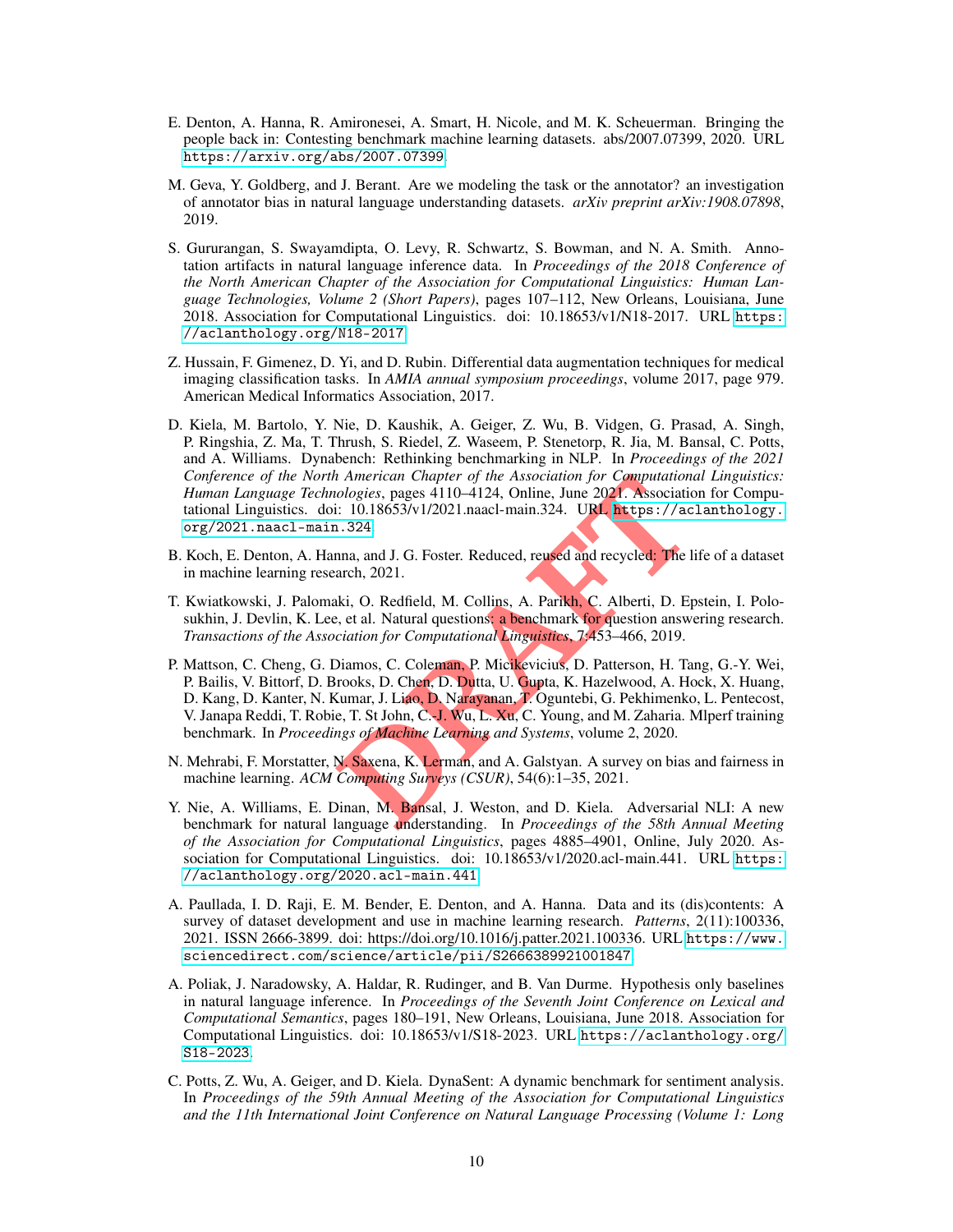- <span id="page-9-0"></span>E. Denton, A. Hanna, R. Amironesei, A. Smart, H. Nicole, and M. K. Scheuerman. Bringing the people back in: Contesting benchmark machine learning datasets. abs/2007.07399, 2020. URL <https://arxiv.org/abs/2007.07399> .
- <span id="page-9-8"></span>M. Geva, Y. Goldberg, and J. Berant. Are we modeling the task or the annotator? an investigation of annotator bias in natural language understanding datasets. *arXiv preprint arXiv:1908.07898* , 2019.
- <span id="page-9-6"></span>S. Gururangan, S. Swayamdipta, O. Levy, R. Schwartz, S. Bowman, and N. A. Smith. Annotation artifacts in natural language inference data. In *Proceedings of the 2018 Conference of the North American Chapter of the Association for Computational Linguistics: Human Language Technologies, Volume 2 (Short Papers)*, pages 107–112, New Orleans, Louisiana, June 2018. Association for Computational Linguistics. doi: 10.18653/v1/N18-2017. URL [https:](https://aclanthology.org/N18-2017) [//aclanthology.org/N18-2017](https://aclanthology.org/N18-2017) .
- <span id="page-9-9"></span>Z. Hussain, F. Gimenez, D. Yi, and D. Rubin. Differential data augmentation techniques for medical imaging classification tasks. In *AMIA annual symposium proceedings*, volume 2017, page 979. American Medical Informatics Association, 2017.
- <span id="page-9-4"></span>D. Kiela, M. Bartolo, Y. Nie, D. Kaushik, A. Geiger, Z. Wu, B. Vidgen, G. Prasad, A. Singh, P. Ringshia, Z. Ma, T. Thrush, S. Riedel, Z. Waseem, P. Stenetorp, R. Jia, M. Bansal, C. Potts, and A. Williams. Dynabench: Rethinking benchmarking in NLP. In *Proceedings of the 2021 Conference of the North American Chapter of the Association for Computational Linguistics: Human Language Technologies*, pages 4110–4124, Online, June 2021. Association for Computational Linguistics. doi: 10.18653/v1/2021.naacl-main.324. URL [https://aclanthology.](https://aclanthology.org/2021.naacl-main.324) [org/2021.naacl-main.324](https://aclanthology.org/2021.naacl-main.324) .
- <span id="page-9-2"></span>B. Koch, E. Denton, A. Hanna, and J. G. Foster. Reduced, reused and recycled: The life of a dataset in machine learning research, 2021.
- <span id="page-9-12"></span><span id="page-9-3"></span>T. Kwiatkowski, J. Palomaki, O. Redfield, M. Collins, A. Parikh, C. Alberti, D. Epstein, I. Polosukhin, J. Devlin, K. Lee, et al. Natural questions: a benchmark for question answering research. *Transactions of the Association for Computational Linguistics*, 7:453–466, 2019.
- *Characterical Chapter of the Association for Computation*<br> *Delogies*, pages 4110–4124, Online, June 2021. Association<br>
1.324.<br>
1.324.<br> **DRL https://ac.**<br>
1.324.<br>
Inna, and J. G. Foster. Reduced, reused and recycled: The P. Mattson, C. Cheng, G. Diamos, C. Coleman, P. Micikevicius, D. Patterson, H. Tang, G.-Y. Wei, P. Bailis, V. Bittorf, D. Brooks, D. Chen, D. Dutta, U. Gupta, K. Hazelwood, A. Hock, X. Huang, D. Kang, D. Kanter, N. Kumar, J. Liao, D. Narayanan, T. Oguntebi, G. Pekhimenko, L. Pentecost, V. Janapa Reddi, T. Robie, T. St John, C.-J. Wu, L. Xu, C. Young, and M. Zaharia. Mlperf training benchmark. In *Proceedings of Machine Learning and Systems*, volume 2, 2020.
- <span id="page-9-1"></span>N. Mehrabi, F. Morstatter, N. Saxena, K. Lerman, and A. Galstyan. A survey on bias and fairness in machine learning. *ACM Computing Surveys (CSUR)*, 54(6):1–35, 2021.
- <span id="page-9-10"></span>Y. Nie, A. Williams, E. Dinan, M. Bansal, J. Weston, and D. Kiela. Adversarial NLI: A new benchmark for natural language understanding. In *Proceedings of the 58th Annual Meeting of the Association for Computational Linguistics*, pages 4885–4901, Online, July 2020. Association for Computational Linguistics. doi: 10.18653/v1/2020.acl-main.441. URL [https:](https://aclanthology.org/2020.acl-main.441) [//aclanthology.org/2020.acl-main.441](https://aclanthology.org/2020.acl-main.441) .
- <span id="page-9-5"></span>A. Paullada, I. D. Raji, E. M. Bender, E. Denton, and A. Hanna. Data and its (dis)contents: A survey of dataset development and use in machine learning research. *Patterns*, 2(11):100336, 2021. ISSN 2666-3899. doi: https://doi.org/10.1016/j.patter.2021.100336. URL [https://www.](https://www.sciencedirect.com/science/article/pii/S2666389921001847) [sciencedirect.com/science/article/pii/S2666389921001847](https://www.sciencedirect.com/science/article/pii/S2666389921001847) .
- <span id="page-9-7"></span>A. Poliak, J. Naradowsky, A. Haldar, R. Rudinger, and B. Van Durme. Hypothesis only baselines in natural language inference. In *Proceedings of the Seventh Joint Conference on Lexical and Computational Semantics*, pages 180–191, New Orleans, Louisiana, June 2018. Association for Computational Linguistics. doi: 10.18653/v1/S18-2023. URL [https://aclanthology.org/](https://aclanthology.org/S18-2023) [S18-2023](https://aclanthology.org/S18-2023) .
- <span id="page-9-11"></span>C. Potts, Z. Wu, A. Geiger, and D. Kiela. DynaSent: A dynamic benchmark for sentiment analysis. In *Proceedings of the 59th Annual Meeting of the Association for Computational Linguistics and the 11th International Joint Conference on Natural Language Processing (Volume 1: Long*